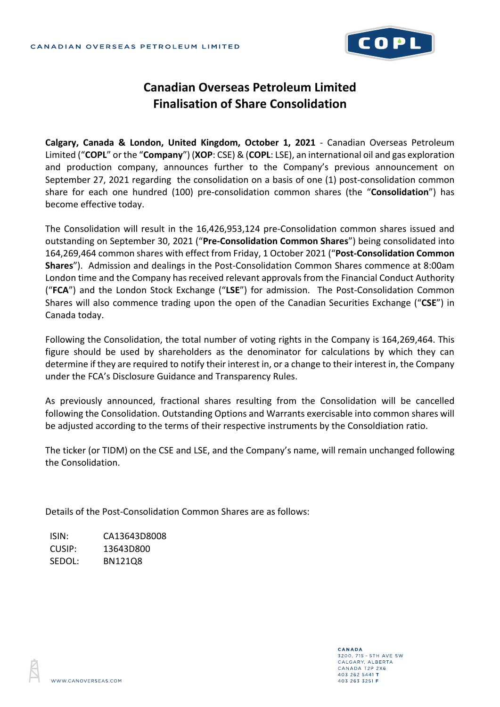

## **Canadian Overseas Petroleum Limited Finalisation of Share Consolidation**

**Calgary, Canada & London, United Kingdom, October 1, 2021** - Canadian Overseas Petroleum Limited ("**COPL**" or the "**Company**") (**XOP**: CSE) & (**COPL**: LSE), an international oil and gas exploration and production company, announces further to the Company's previous announcement on September 27, 2021 regarding the consolidation on a basis of one (1) post-consolidation common share for each one hundred (100) pre-consolidation common shares (the "**Consolidation**") has become effective today.

The Consolidation will result in the 16,426,953,124 pre-Consolidation common shares issued and outstanding on September 30, 2021 ("**Pre-Consolidation Common Shares**") being consolidated into 164,269,464 common shares with effect from Friday, 1 October 2021 ("**Post-Consolidation Common Shares**"). Admission and dealings in the Post-Consolidation Common Shares commence at 8:00am London time and the Company has received relevant approvals from the Financial Conduct Authority ("**FCA**") and the London Stock Exchange ("**LSE**") for admission. The Post-Consolidation Common Shares will also commence trading upon the open of the Canadian Securities Exchange ("**CSE**") in Canada today.

Following the Consolidation, the total number of voting rights in the Company is 164,269,464. This figure should be used by shareholders as the denominator for calculations by which they can determine if they are required to notify their interest in, or a change to their interest in, the Company under the FCA's Disclosure Guidance and Transparency Rules.

As previously announced, fractional shares resulting from the Consolidation will be cancelled following the Consolidation. Outstanding Options and Warrants exercisable into common shares will be adjusted according to the terms of their respective instruments by the Consoldiation ratio.

The ticker (or TIDM) on the CSE and LSE, and the Company's name, will remain unchanged following the Consolidation.

Details of the Post-Consolidation Common Shares are as follows:

ISIN: CA13643D8008 CUSIP: 13643D800 SEDOL: BN121Q8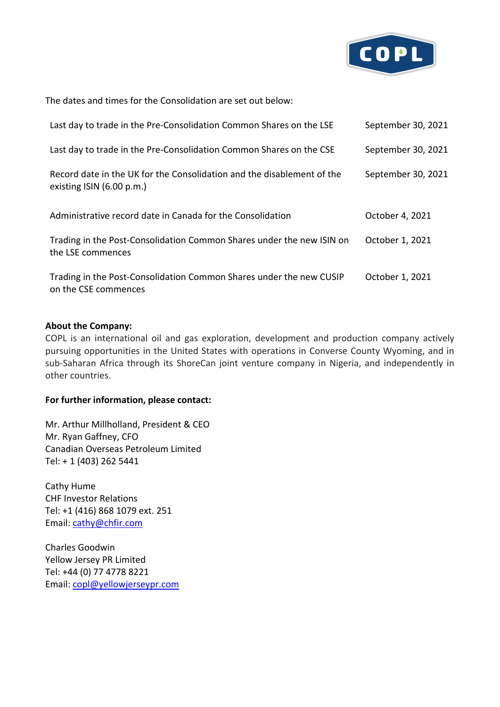

The dates and times for the Consolidation are set out below:

| Last day to trade in the Pre-Consolidation Common Shares on the LSE                                  | September 30, 2021 |
|------------------------------------------------------------------------------------------------------|--------------------|
| Last day to trade in the Pre-Consolidation Common Shares on the CSE                                  | September 30, 2021 |
| Record date in the UK for the Consolidation and the disablement of the<br>existing $ISIN(6.00 p.m.)$ | September 30, 2021 |
| Administrative record date in Canada for the Consolidation                                           | October 4, 2021    |
| Trading in the Post-Consolidation Common Shares under the new ISIN on<br>the LSE commences           | October 1, 2021    |
| Trading in the Post-Consolidation Common Shares under the new CUSIP<br>on the CSE commences          | October 1, 2021    |

## **About the Company:**

COPL is an international oil and gas exploration, development and production company actively pursuing opportunities in the United States with operations in Converse County Wyoming, and in sub-Saharan Africa through its ShoreCan joint venture company in Nigeria, and independently in other countries.

## **For further information, please contact:**

Mr. Arthur Millholland, President & CEO Mr. Ryan Gaffney, CFO Canadian Overseas Petroleum Limited Tel: + 1 (403) 262 5441

Cathy Hume CHF Investor Relations Tel: +1 (416) 868 1079 ext. 251 Email: [cathy@chfir.com](mailto:cathy@chfir.com)

Charles Goodwin Yellow Jersey PR Limited Tel: +44 (0) 77 4778 8221 Email: [copl@yellowjerseypr.com](mailto:copl@yellowjerseypr.com)